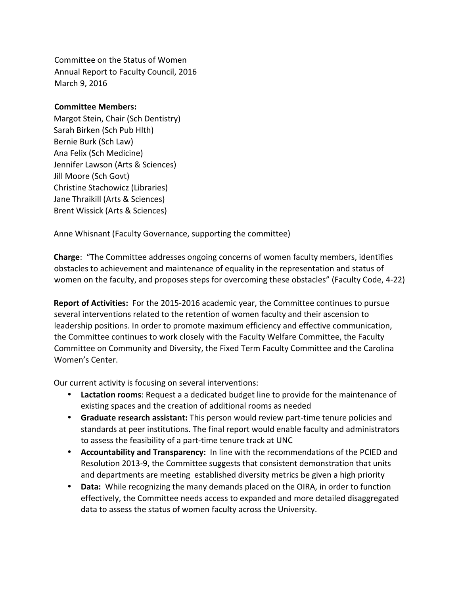Committee on the Status of Women Annual Report to Faculty Council, 2016 March 9, 2016

## **Committee Members:**

Margot Stein, Chair (Sch Dentistry) Sarah Birken (Sch Pub Hlth) Bernie Burk (Sch Law) Ana Felix (Sch Medicine) Jennifer Lawson (Arts & Sciences) Jill Moore (Sch Govt) Christine Stachowicz (Libraries) Jane Thraikill (Arts & Sciences) Brent Wissick (Arts & Sciences)

Anne Whisnant (Faculty Governance, supporting the committee)

**Charge:** "The Committee addresses ongoing concerns of women faculty members, identifies obstacles to achievement and maintenance of equality in the representation and status of women on the faculty, and proposes steps for overcoming these obstacles" (Faculty Code, 4-22)

**Report of Activities:** For the 2015-2016 academic year, the Committee continues to pursue several interventions related to the retention of women faculty and their ascension to leadership positions. In order to promote maximum efficiency and effective communication, the Committee continues to work closely with the Faculty Welfare Committee, the Faculty Committee on Community and Diversity, the Fixed Term Faculty Committee and the Carolina Women's Center.

Our current activity is focusing on several interventions:

- **Lactation rooms:** Request a a dedicated budget line to provide for the maintenance of existing spaces and the creation of additional rooms as needed
- Graduate research assistant: This person would review part-time tenure policies and standards at peer institutions. The final report would enable faculty and administrators to assess the feasibility of a part-time tenure track at UNC
- **Accountability and Transparency:** In line with the recommendations of the PCIED and Resolution 2013-9, the Committee suggests that consistent demonstration that units and departments are meeting established diversity metrics be given a high priority
- **Data:** While recognizing the many demands placed on the OIRA, in order to function effectively, the Committee needs access to expanded and more detailed disaggregated data to assess the status of women faculty across the University.